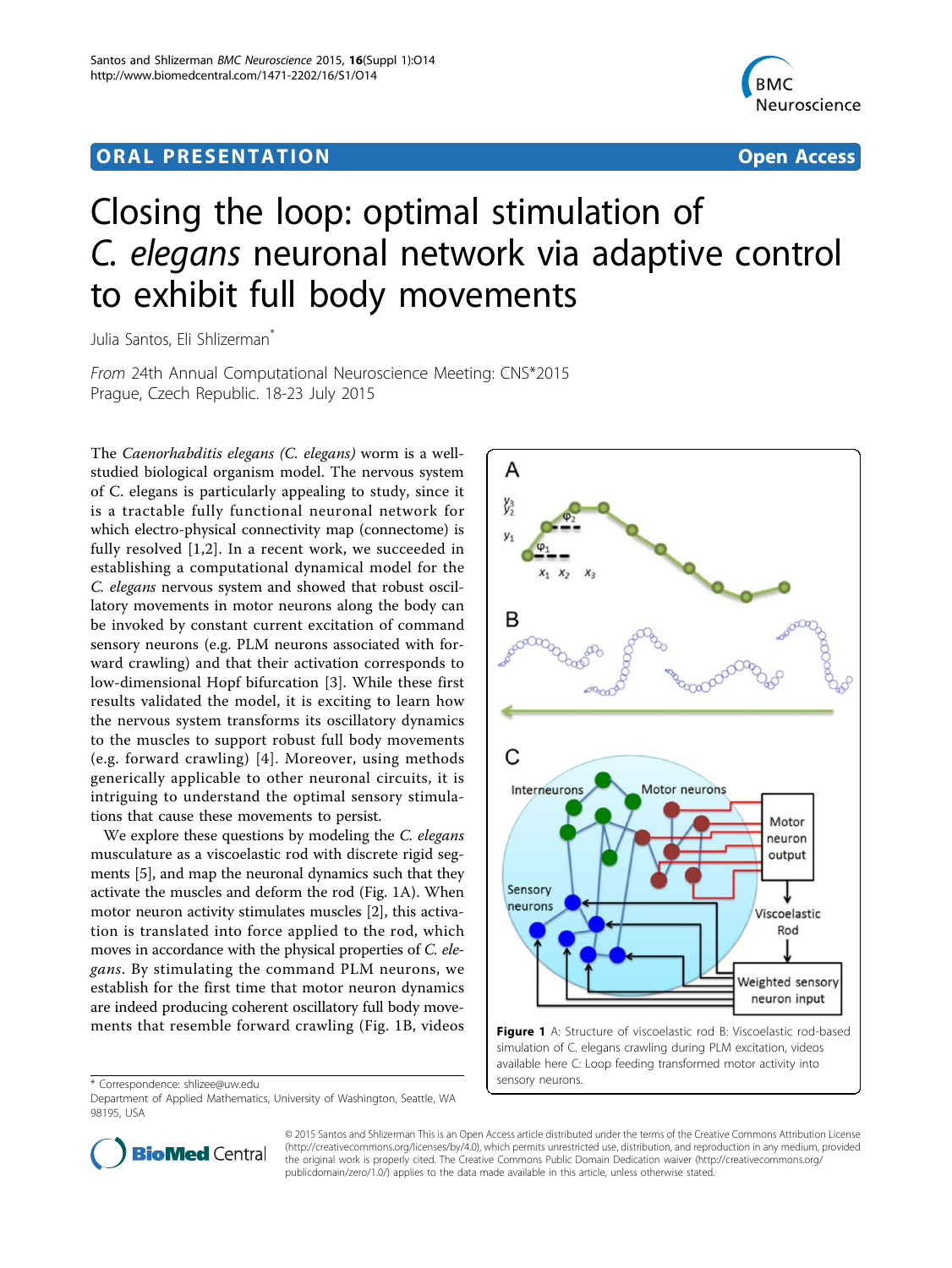## <span id="page-0-0"></span>ORA L PR E S EN TA TION OPEN ACCESS OF THE SERVICE OF THE SERVICE OF THE SERVICE OF THE SERVICE OF THE SERVICE



# Closing the loop: optimal stimulation of C. elegans neuronal network via adaptive control to exhibit full body movements

Julia Santos, Eli Shlizerman<sup>\*</sup>

From 24th Annual Computational Neuroscience Meeting: CNS\*2015 Prague, Czech Republic. 18-23 July 2015

The Caenorhabditis elegans (C. elegans) worm is a wellstudied biological organism model. The nervous system of C. elegans is particularly appealing to study, since it is a tractable fully functional neuronal network for which electro-physical connectivity map (connectome) is fully resolved [[1,2](#page-1-0)]. In a recent work, we succeeded in establishing a computational dynamical model for the C. elegans nervous system and showed that robust oscillatory movements in motor neurons along the body can be invoked by constant current excitation of command sensory neurons (e.g. PLM neurons associated with forward crawling) and that their activation corresponds to low-dimensional Hopf bifurcation [\[3](#page-1-0)]. While these first results validated the model, it is exciting to learn how the nervous system transforms its oscillatory dynamics to the muscles to support robust full body movements (e.g. forward crawling) [[4\]](#page-1-0). Moreover, using methods generically applicable to other neuronal circuits, it is intriguing to understand the optimal sensory stimulations that cause these movements to persist.

We explore these questions by modeling the C. elegans musculature as a viscoelastic rod with discrete rigid segments [\[5](#page-1-0)], and map the neuronal dynamics such that they activate the muscles and deform the rod (Fig. 1A). When motor neuron activity stimulates muscles [\[2](#page-1-0)], this activation is translated into force applied to the rod, which moves in accordance with the physical properties of C. elegans. By stimulating the command PLM neurons, we establish for the first time that motor neuron dynamics are indeed producing coherent oscillatory full body movements that resemble forward crawling (Fig. 1B, videos

\* Correspondence: [shlizee@uw.edu](mailto:shlizee@uw.edu)

Department of Applied Mathematics, University of Washington, Seattle, WA 98195, USA



simulation of C. elegans crawling during PLM excitation, videos available here C: Loop feeding transformed motor activity into sensory neurons.



© 2015 Santos and Shlizerman This is an Open Access article distributed under the terms of the Creative Commons Attribution License [\(http://creativecommons.org/licenses/by/4.0](http://creativecommons.org/licenses/by/4.0)), which permits unrestricted use, distribution, and reproduction in any medium, provided the original work is properly cited. The Creative Commons Public Domain Dedication waiver ([http://creativecommons.org/](http://creativecommons.org/publicdomain/zero/1.0/) [publicdomain/zero/1.0/](http://creativecommons.org/publicdomain/zero/1.0/)) applies to the data made available in this article, unless otherwise stated.